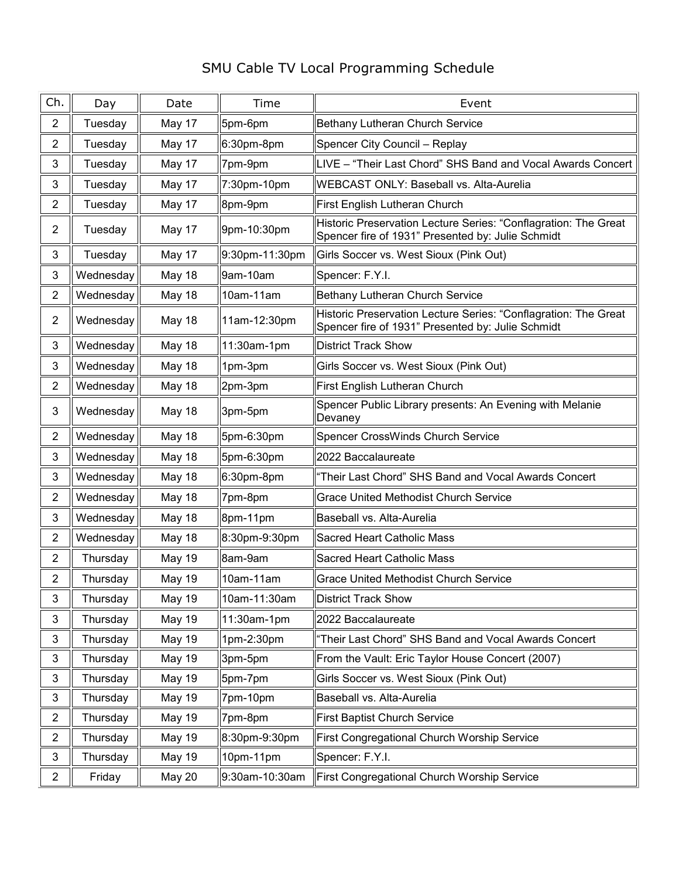## SMU Cable TV Local Programming Schedule

| Ch.            | Day       | Date          | Time           | Event                                                                                                                |
|----------------|-----------|---------------|----------------|----------------------------------------------------------------------------------------------------------------------|
| $\overline{2}$ | Tuesday   | May 17        | 5pm-6pm        | Bethany Lutheran Church Service                                                                                      |
| $\overline{2}$ | Tuesday   | May 17        | $6:30pm$ -8pm  | Spencer City Council - Replay                                                                                        |
| 3              | Tuesday   | May 17        | 7pm-9pm        | LIVE - "Their Last Chord" SHS Band and Vocal Awards Concert                                                          |
| 3              | Tuesday   | May 17        | 7:30pm-10pm    | <b>WEBCAST ONLY: Baseball vs. Alta-Aurelia</b>                                                                       |
| $\overline{2}$ | Tuesday   | May 17        | 8pm-9pm        | First English Lutheran Church                                                                                        |
| $\overline{2}$ | Tuesday   | May 17        | 9pm-10:30pm    | Historic Preservation Lecture Series: "Conflagration: The Great<br>Spencer fire of 1931" Presented by: Julie Schmidt |
| 3              | Tuesday   | May 17        | 9:30pm-11:30pm | Girls Soccer vs. West Sioux (Pink Out)                                                                               |
| 3              | Wednesday | May 18        | 9am-10am       | Spencer: F.Y.I.                                                                                                      |
| $\overline{2}$ | Wednesday | May 18        | 10am-11am      | Bethany Lutheran Church Service                                                                                      |
| $\overline{2}$ | Wednesday | May 18        | 11am-12:30pm   | Historic Preservation Lecture Series: "Conflagration: The Great<br>Spencer fire of 1931" Presented by: Julie Schmidt |
| 3              | Wednesday | May 18        | 11:30am-1pm    | <b>District Track Show</b>                                                                                           |
| 3              | Wednesday | May 18        | 1pm-3pm        | Girls Soccer vs. West Sioux (Pink Out)                                                                               |
| $\overline{2}$ | Wednesday | May 18        | 2pm-3pm        | First English Lutheran Church                                                                                        |
| 3              | Wednesday | May 18        | 3pm-5pm        | Spencer Public Library presents: An Evening with Melanie<br>Devaney                                                  |
| $\overline{2}$ | Wednesday | May 18        | 5pm-6:30pm     | Spencer CrossWinds Church Service                                                                                    |
| 3              | Wednesday | May 18        | 5pm-6:30pm     | 2022 Baccalaureate                                                                                                   |
| 3              | Wednesday | May 18        | $6:30pm$ -8pm  | "Their Last Chord" SHS Band and Vocal Awards Concert                                                                 |
| $\overline{2}$ | Wednesday | May 18        | 7pm-8pm        | <b>Grace United Methodist Church Service</b>                                                                         |
| 3              | Wednesday | May 18        | 8pm-11pm       | Baseball vs. Alta-Aurelia                                                                                            |
| $\overline{c}$ | Wednesday | May 18        | 8:30pm-9:30pm  | Sacred Heart Catholic Mass                                                                                           |
| $\overline{2}$ | Thursday  | <b>May 19</b> | 8am-9am        | <b>Sacred Heart Catholic Mass</b>                                                                                    |
| $\overline{c}$ | Thursday  | May 19        | 10am-11am      | <b>Grace United Methodist Church Service</b>                                                                         |
| 3              | Thursday  | <b>May 19</b> | 10am-11:30am   | <b>District Track Show</b>                                                                                           |
| 3              | Thursday  | <b>May 19</b> | 11:30am-1pm    | 2022 Baccalaureate                                                                                                   |
| 3              | Thursday  | May 19        | 1pm-2:30pm     | 'Their Last Chord" SHS Band and Vocal Awards Concert                                                                 |
| 3              | Thursday  | <b>May 19</b> | 3pm-5pm        | From the Vault: Eric Taylor House Concert (2007)                                                                     |
| 3              | Thursday  | <b>May 19</b> | 5pm-7pm        | Girls Soccer vs. West Sioux (Pink Out)                                                                               |
| 3              | Thursday  | <b>May 19</b> | 7pm-10pm       | Baseball vs. Alta-Aurelia                                                                                            |
| $\overline{c}$ | Thursday  | <b>May 19</b> | 7pm-8pm        | <b>First Baptist Church Service</b>                                                                                  |
| $\overline{c}$ | Thursday  | <b>May 19</b> | 8:30pm-9:30pm  | First Congregational Church Worship Service                                                                          |
| 3              | Thursday  | May 19        | 10pm-11pm      | Spencer: F.Y.I.                                                                                                      |
| $\overline{a}$ | Friday    | May 20        | 9:30am-10:30am | First Congregational Church Worship Service                                                                          |